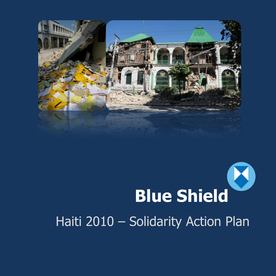

# U **Blue Shield**

# Haiti 2010 – Solidarity Action Plan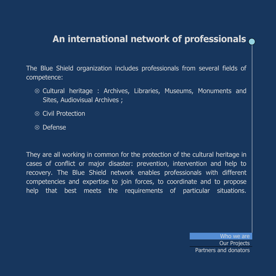# **An international network of professionals**

The Blue Shield organization includes professionals from several fields of competence:

- $\otimes$  Cultural heritage : Archives, Libraries, Museums, Monuments and Sites, Audiovisual Archives ;
- $\otimes$  Civil Protection
- $\overline{\otimes}$  Defense

They are all working in common for the protection of the cultural heritage in cases of conflict or major disaster: prevention, intervention and help to recovery. The Blue Shield network enables professionals with different competencies and expertise to join forces, to coordinate and to propose help that best meets the requirements of particular situations.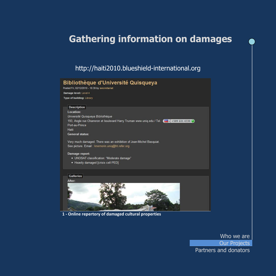## **Gathering information on damages**

#### http://haiti2010.blueshield-international.org

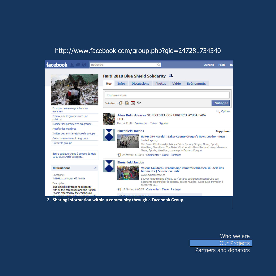### http://www.facebook.com/group.php?gid=247281734340



 **2 - Sharing information within a community through a Facebook Group**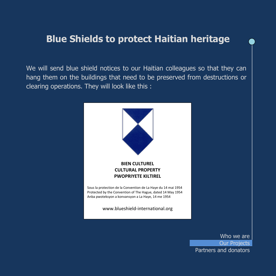### **Blue Shields to protect Haitian heritage**

We will send blue shield notices to our Haitian colleagues so that they can hang them on the buildings that need to be preserved from destructions or clearing operations. They will look like this :

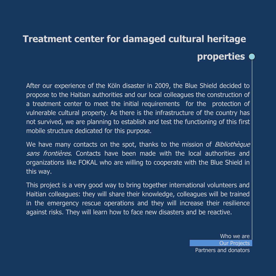# **Treatment center for damaged cultural heritage properties**

After our experience of the Köln disaster in 2009, the Blue Shield decided to propose to the Haitian authorities and our local colleagues the construction of a treatment center to meet the initial requirements for the protection of vulnerable cultural property. As there is the infrastructure of the country has not survived, we are planning to establish and test the functioning of this first mobile structure dedicated for this purpose.

We have many contacts on the spot, thanks to the mission of *Bibliothèque* sans frontières. Contacts have been made with the local authorities and organizations like FOKAL who are willing to cooperate with the Blue Shield in this way.

This project is a very good way to bring together international volunteers and Haitian colleagues: they will share their knowledge, colleagues will be trained in the emergency rescue operations and they will increase their resilience against risks. They will learn how to face new disasters and be reactive.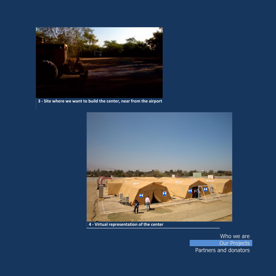

 **3 - Site where we want to build the center, near from the airport**

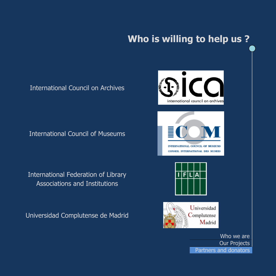# **Who is willing to help us ?**

### International Council on Archives

International Council of Museums

International Federation of Library Associations and Institutions

Universidad Complutense de Madrid



Partners and donators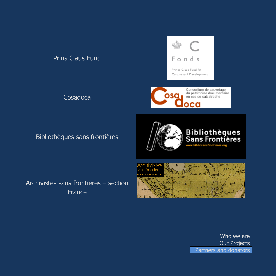### Prins Claus Fund

Cosadoca

### Bibliothèques sans frontières







Archivistes sans frontières – section France